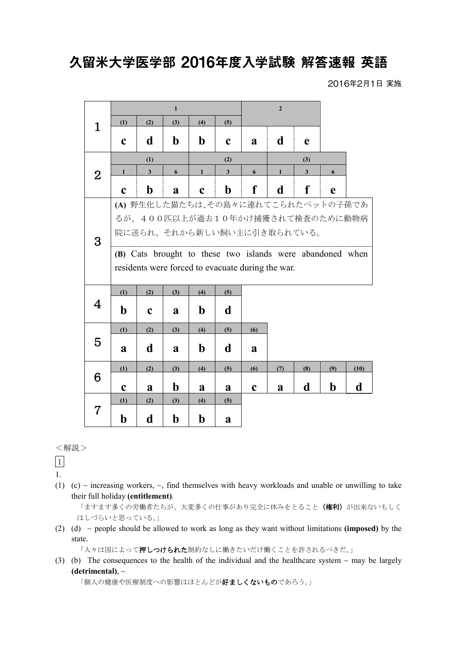## 久留米大学医学部 2016年度入学試験 解答速報 英語

2016年2月1日 実施

|                                    | $\mathbf{1}$                                              |              |             |              |                                 | $\overline{2}$ |              |              |             |      |
|------------------------------------|-----------------------------------------------------------|--------------|-------------|--------------|---------------------------------|----------------|--------------|--------------|-------------|------|
| 1                                  | (1)                                                       | (2)          | (3)         | (4)          | (5)                             |                |              |              |             |      |
|                                    | $\mathbf c$                                               | d            | $\mathbf b$ | $\mathbf b$  | $\mathbf c$                     | a              | d            | e            |             |      |
| $\overline{2}$                     | (1)                                                       |              |             | (2)          |                                 | (3)            |              |              |             |      |
|                                    | $\mathbf{1}$                                              | $\mathbf{3}$ | 6           | $\mathbf{1}$ | $\mathbf{3}$                    | 6              | $\mathbf{1}$ | $\mathbf{3}$ | 6           |      |
|                                    | $\mathbf c$                                               | $\mathbf b$  | a           | $\mathbf c$  | $\mathbf b$                     | f              | d            | f            | e           |      |
| (A) 野生化した猫たちは、その島々に連れてこられたペットの子孫であ |                                                           |              |             |              |                                 |                |              |              |             |      |
|                                    |                                                           |              |             |              | るが、400匹以上が過去10年かけ捕獲されて検査のために動物病 |                |              |              |             |      |
| 3                                  | 院に送られ、それから新しい飼い主に引き取られている。                                |              |             |              |                                 |                |              |              |             |      |
|                                    | (B) Cats brought to these two islands were abandoned when |              |             |              |                                 |                |              |              |             |      |
|                                    | residents were forced to evacuate during the war.         |              |             |              |                                 |                |              |              |             |      |
|                                    | (1)                                                       | (2)          | (3)         | (4)          | (5)                             |                |              |              |             |      |
| 4                                  | $\mathbf b$                                               | $\mathbf c$  | a           | $\mathbf b$  | d                               |                |              |              |             |      |
| 5                                  | (1)                                                       | (2)          | (3)         | (4)          | (5)                             | (6)            |              |              |             |      |
|                                    | a                                                         | d            | a           | $\mathbf b$  | d                               | a              |              |              |             |      |
| 6                                  | (1)                                                       | (2)          | (3)         | (4)          | (5)                             | (6)            | (7)          | (8)          | (9)         | (10) |
|                                    | $\mathbf c$                                               | a            | $\mathbf b$ | a            | a                               | $\mathbf c$    | a            | d            | $\mathbf b$ | d    |
| $7\,$                              | (1)                                                       | (2)          | (3)         | (4)          | (5)                             |                |              |              |             |      |
|                                    | $\mathbf b$                                               | d            | $\mathbf b$ | $\mathbf b$  | a                               |                |              |              |             |      |

## <解説>

1

- 1.
- (1) (c)  $\sim$  increasing workers,  $\sim$ , find themselves with heavy workloads and unable or unwilling to take their full holiday **(entitlement)**.

「ますます多くの労働者たちが、大変多くの仕事があり完全に休みをとること(権利)が出来ないもしく はしづらいと思っている。」

(2) (d) ~ people should be allowed to work as long as they want without limitations **(imposed)** by the state.

「人々は国によって押しつけられた制約なしに働きたいだけ働くことを許されるべきだ。」

(3) (b) The consequences to the health of the individual and the healthcare system  $\sim$  may be largely **(detrimental)**, ~

「個人の健康や医療制度への影響はほとんどが好ましくないものであろう。」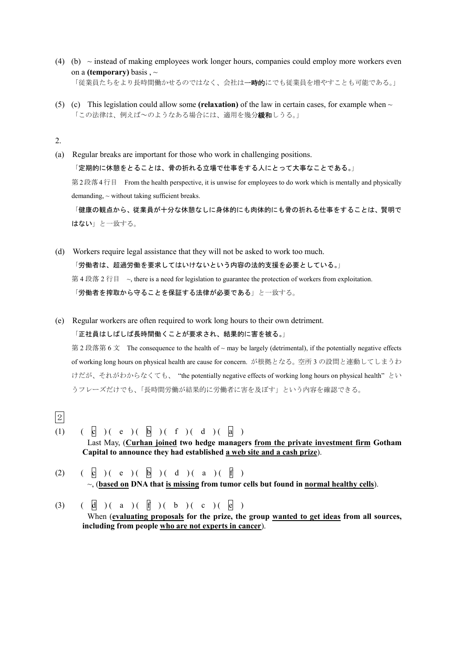- (4) (b)  $\sim$  instead of making employees work longer hours, companies could employ more workers even on a **(temporary)** basis , ~ 「従業員たちをより長時間働かせるのではなく、会社は一時的にでも従業員を増やすことも可能である。」
- (5) (c) This legislation could allow some (**relaxation**) of the law in certain cases, for example when  $\sim$ 「この法律は、例えば~のようなある場合には、適用を幾分緩和しうる。」

2.

2

- (a) Regular breaks are important for those who work in challenging positions. 「定期的に休憩をとることは、骨の折れる立場で仕事をする人にとって大事なことである。」 第 2段落4行目 From the health perspective, it is unwise for employees to do work which is mentally and physically demanding,  $\sim$  without taking sufficient breaks. 「健康の観点から、従業員が十分な休憩なしに身体的にも肉体的にも骨の折れる仕事をすることは、賢明で はない」と一致する。
- (d) Workers require legal assistance that they will not be asked to work too much. 「労働者は、超過労働を要求してはいけないという内容の法的支援を必要としている。」 第 4 段落 2 行目 ~, there is a need for legislation to guarantee the protection of workers from exploitation. 「労働者を搾取から守ることを保証する法律が必要である」と一致する。

(e) Regular workers are often required to work long hours to their own detriment. 「正社員はしばしば長時間働くことが要求され、結果的に害を被る。」 第 2 段落第 6 文 The consequence to the health of  $\sim$  may be largely (detrimental), if the potentially negative effects of working long hours on physical health are cause for concern. が根拠となる。空所 3 の設問と連動してしまうわ けだが、それがわからなくても、 "the potentially negative effects of working long hours on physical health" とい

うフレーズだけでも、「長時間労働が結果的に労働者に害を及ぼす」という内容を確認できる。

- (1)  $\begin{pmatrix} 1 & 0 \end{pmatrix}$  ( e ) ( b ) ( f ) ( d ) ( a ) Last May, (**Curhan joined two hedge managers from the private investment firm Gotham Capital to announce they had established a web site and a cash prize**).
- (2)  $\left(\begin{array}{c|c} \circ & \circ \\ \circ & \circ \end{array}\right)$  (e ) (b) (d) (a) (f) ~, (**based on DNA that is missing from tumor cells but found in normal healthy cells**).
- (3)  $(\begin{array}{c} 1 \ 0 \end{array})(a) (\begin{array}{c} 1 \ 0 \end{array})(b) (\begin{array}{c} 0 \end{array})(c)$ When (**evaluating proposals for the prize, the group wanted to get ideas from all sources, including from people who are not experts in cancer**).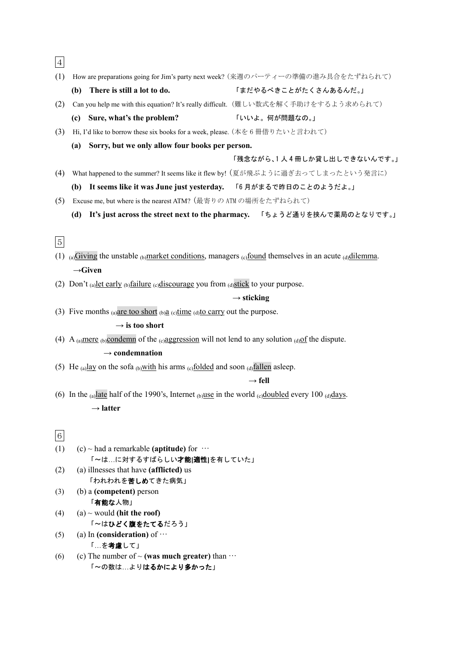| $\overline{4}$ |                                                                                                           |                                                                                 |
|----------------|-----------------------------------------------------------------------------------------------------------|---------------------------------------------------------------------------------|
| (1)            |                                                                                                           | How are preparations going for Jim's party next week? (来週のパーティーの準備の進み具合をたずねられて) |
|                | There is still a lot to do.<br>(b)                                                                        | 「まだやるべきことがたくさんあるんだ。」                                                            |
| (2)            | Can you help me with this equation? It's really difficult. (難しい数式を解く手助けをするよう求められて)                        |                                                                                 |
|                | (c) Sure, what's the problem?                                                                             | 「いいよ。何が問題なの。」                                                                   |
| (3)            | Hi, I'd like to borrow these six books for a week, please. (本を6冊借りたいと言われて)                                |                                                                                 |
|                | Sorry, but we only allow four books per person.<br>(a)                                                    |                                                                                 |
|                |                                                                                                           | 「残念ながら、1人4冊しか貸し出しできないんです。」                                                      |
| (4)            |                                                                                                           | What happened to the summer? It seems like it flew by! (夏が飛ぶように過ぎ去ってしまったという発言に) |
|                | (b) It seems like it was June just yesterday. 「6月がまるで昨日のことのようだよ。」                                         |                                                                                 |
| (5)            | Excuse me, but where is the nearest ATM? (最寄りの ATM の場所をたずねられて)                                            |                                                                                 |
|                | (d)                                                                                                       | It's just across the street next to the pharmacy. 「ちょうど通りを挟んで薬局のとなりです。」         |
|                |                                                                                                           |                                                                                 |
| $\bf 5$        |                                                                                                           |                                                                                 |
|                | (1) (a) Giving the unstable (b) market conditions, managers (c) found themselves in an acute (d) dilemma. |                                                                                 |
|                | $\rightarrow$ Given                                                                                       |                                                                                 |
|                | (2) Don't (a) let early (b) failure (c) discourage you from (d) stick to your purpose.                    |                                                                                 |
|                |                                                                                                           | $\rightarrow$ sticking                                                          |
|                | (3) Five months (a) are too short (b) a (c) time (d) to carry out the purpose.                            |                                                                                 |
|                |                                                                                                           |                                                                                 |
|                | $\rightarrow$ is too short                                                                                |                                                                                 |
|                | (4) A (a)mere (b)condemn of the (e)aggression will not lend to any solution (d) of the dispute.           |                                                                                 |
|                | $\rightarrow$ condemnation                                                                                |                                                                                 |
|                | (5) He (a) lay on the sofa (b) with his arms (c) folded and soon (d) fallen as leep.                      |                                                                                 |
|                |                                                                                                           | $\rightarrow$ fell                                                              |
|                | (6) In the (a) late half of the 1990's, Internet (b) use in the world (c) doubled every 100 (d) days.     |                                                                                 |
|                | $\rightarrow$ latter                                                                                      |                                                                                 |
|                |                                                                                                           |                                                                                 |
| $\,$ 6 $\,$    |                                                                                                           |                                                                                 |
| (1)            | (c) ~ had a remarkable (aptitude) for $\cdots$                                                            |                                                                                 |
| (2)            | 「~は…に対するすばらしい才能[適性]を有していた」<br>(a) illnesses that have (afflicted) us                                      |                                                                                 |
|                | 「われわれを苦しめてきた病気」                                                                                           |                                                                                 |
| (3)            | (b) a (competent) person                                                                                  |                                                                                 |
|                | 「有能な人物」                                                                                                   |                                                                                 |
| (4)            | (a) $\sim$ would (hit the roof)<br>「~はひどく腹をたてるだろう」                                                        |                                                                                 |
| (5)            | (a) In (consideration) of $\cdots$                                                                        |                                                                                 |
|                | 「…を考慮して」                                                                                                  |                                                                                 |
| (6)            | (c) The number of $\sim$ (was much greater) than $\cdots$                                                 |                                                                                 |

「~の数は…よりはるかにより多かった」